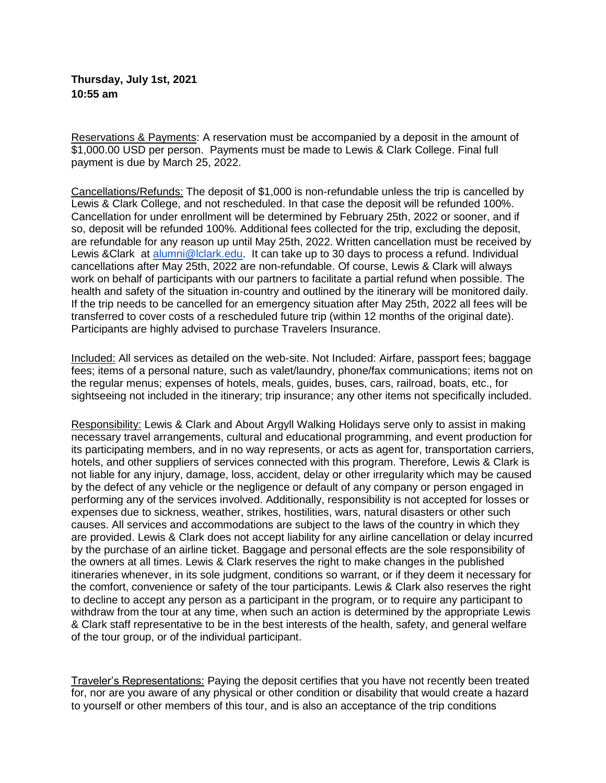**Thursday, July 1st, 2021 10:55 am**

Reservations & Payments: A reservation must be accompanied by a deposit in the amount of \$1,000.00 USD per person. Payments must be made to Lewis & Clark College. Final full payment is due by March 25, 2022.

Cancellations/Refunds: The deposit of \$1,000 is non-refundable unless the trip is cancelled by Lewis & Clark College, and not rescheduled. In that case the deposit will be refunded 100%. Cancellation for under enrollment will be determined by February 25th, 2022 or sooner, and if so, deposit will be refunded 100%. Additional fees collected for the trip, excluding the deposit, are refundable for any reason up until May 25th, 2022. Written cancellation must be received by Lewis &Clark at [alumni@lclark.edu.](mailto:alumni@lclark.edu) It can take up to 30 days to process a refund. Individual cancellations after May 25th, 2022 are non-refundable. Of course, Lewis & Clark will always work on behalf of participants with our partners to facilitate a partial refund when possible. The health and safety of the situation in-country and outlined by the itinerary will be monitored daily. If the trip needs to be cancelled for an emergency situation after May 25th, 2022 all fees will be transferred to cover costs of a rescheduled future trip (within 12 months of the original date). Participants are highly advised to purchase Travelers Insurance.

Included: All services as detailed on the web-site. Not Included: Airfare, passport fees; baggage fees; items of a personal nature, such as valet/laundry, phone/fax communications; items not on the regular menus; expenses of hotels, meals, guides, buses, cars, railroad, boats, etc., for sightseeing not included in the itinerary; trip insurance; any other items not specifically included.

Responsibility: Lewis & Clark and About Argyll Walking Holidays serve only to assist in making necessary travel arrangements, cultural and educational programming, and event production for its participating members, and in no way represents, or acts as agent for, transportation carriers, hotels, and other suppliers of services connected with this program. Therefore, Lewis & Clark is not liable for any injury, damage, loss, accident, delay or other irregularity which may be caused by the defect of any vehicle or the negligence or default of any company or person engaged in performing any of the services involved. Additionally, responsibility is not accepted for losses or expenses due to sickness, weather, strikes, hostilities, wars, natural disasters or other such causes. All services and accommodations are subject to the laws of the country in which they are provided. Lewis & Clark does not accept liability for any airline cancellation or delay incurred by the purchase of an airline ticket. Baggage and personal effects are the sole responsibility of the owners at all times. Lewis & Clark reserves the right to make changes in the published itineraries whenever, in its sole judgment, conditions so warrant, or if they deem it necessary for the comfort, convenience or safety of the tour participants. Lewis & Clark also reserves the right to decline to accept any person as a participant in the program, or to require any participant to withdraw from the tour at any time, when such an action is determined by the appropriate Lewis & Clark staff representative to be in the best interests of the health, safety, and general welfare of the tour group, or of the individual participant.

Traveler's Representations: Paying the deposit certifies that you have not recently been treated for, nor are you aware of any physical or other condition or disability that would create a hazard to yourself or other members of this tour, and is also an acceptance of the trip conditions